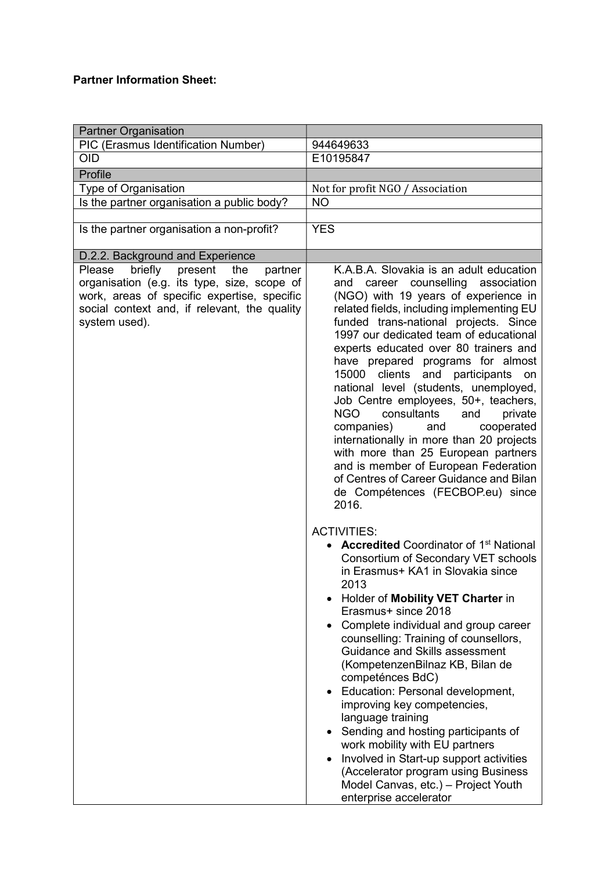## Partner Information Sheet:

| <b>Partner Organisation</b>                                                                                                                                                                                   |                                                                                                                                                                                                                                                                                                                                                                                                                                                                                                                                                                                                                                                                                                                                                                                                                                                                                                                                                                                                                                                                                                                                                                                                                                                                                                                                                                                                                                                                                                                      |
|---------------------------------------------------------------------------------------------------------------------------------------------------------------------------------------------------------------|----------------------------------------------------------------------------------------------------------------------------------------------------------------------------------------------------------------------------------------------------------------------------------------------------------------------------------------------------------------------------------------------------------------------------------------------------------------------------------------------------------------------------------------------------------------------------------------------------------------------------------------------------------------------------------------------------------------------------------------------------------------------------------------------------------------------------------------------------------------------------------------------------------------------------------------------------------------------------------------------------------------------------------------------------------------------------------------------------------------------------------------------------------------------------------------------------------------------------------------------------------------------------------------------------------------------------------------------------------------------------------------------------------------------------------------------------------------------------------------------------------------------|
| <b>PIC (Erasmus Identification Number)</b>                                                                                                                                                                    | 944649633                                                                                                                                                                                                                                                                                                                                                                                                                                                                                                                                                                                                                                                                                                                                                                                                                                                                                                                                                                                                                                                                                                                                                                                                                                                                                                                                                                                                                                                                                                            |
| <b>OID</b>                                                                                                                                                                                                    | E10195847                                                                                                                                                                                                                                                                                                                                                                                                                                                                                                                                                                                                                                                                                                                                                                                                                                                                                                                                                                                                                                                                                                                                                                                                                                                                                                                                                                                                                                                                                                            |
| Profile                                                                                                                                                                                                       |                                                                                                                                                                                                                                                                                                                                                                                                                                                                                                                                                                                                                                                                                                                                                                                                                                                                                                                                                                                                                                                                                                                                                                                                                                                                                                                                                                                                                                                                                                                      |
| Type of Organisation                                                                                                                                                                                          | Not for profit NGO / Association                                                                                                                                                                                                                                                                                                                                                                                                                                                                                                                                                                                                                                                                                                                                                                                                                                                                                                                                                                                                                                                                                                                                                                                                                                                                                                                                                                                                                                                                                     |
| Is the partner organisation a public body?                                                                                                                                                                    | <b>NO</b>                                                                                                                                                                                                                                                                                                                                                                                                                                                                                                                                                                                                                                                                                                                                                                                                                                                                                                                                                                                                                                                                                                                                                                                                                                                                                                                                                                                                                                                                                                            |
|                                                                                                                                                                                                               |                                                                                                                                                                                                                                                                                                                                                                                                                                                                                                                                                                                                                                                                                                                                                                                                                                                                                                                                                                                                                                                                                                                                                                                                                                                                                                                                                                                                                                                                                                                      |
| Is the partner organisation a non-profit?                                                                                                                                                                     | <b>YES</b>                                                                                                                                                                                                                                                                                                                                                                                                                                                                                                                                                                                                                                                                                                                                                                                                                                                                                                                                                                                                                                                                                                                                                                                                                                                                                                                                                                                                                                                                                                           |
| D.2.2. Background and Experience                                                                                                                                                                              |                                                                                                                                                                                                                                                                                                                                                                                                                                                                                                                                                                                                                                                                                                                                                                                                                                                                                                                                                                                                                                                                                                                                                                                                                                                                                                                                                                                                                                                                                                                      |
| briefly<br>present<br>Please<br>the<br>partner<br>organisation (e.g. its type, size, scope of<br>work, areas of specific expertise, specific<br>social context and, if relevant, the quality<br>system used). | K.A.B.A. Slovakia is an adult education<br>career counselling association<br>and<br>(NGO) with 19 years of experience in<br>related fields, including implementing EU<br>funded trans-national projects. Since<br>1997 our dedicated team of educational<br>experts educated over 80 trainers and<br>have prepared programs for almost<br>15000<br>clients<br>and participants<br>on<br>national level (students, unemployed,<br>Job Centre employees, 50+, teachers,<br>NGO<br>consultants<br>and<br>private<br>companies)<br>and<br>cooperated<br>internationally in more than 20 projects<br>with more than 25 European partners<br>and is member of European Federation<br>of Centres of Career Guidance and Bilan<br>de Compétences (FECBOP.eu) since<br>2016.<br><b>ACTIVITIES:</b><br><b>Accredited Coordinator of 1st National</b><br>Consortium of Secondary VET schools<br>in Erasmus+ KA1 in Slovakia since<br>2013<br>Holder of Mobility VET Charter in<br>Erasmus+ since 2018<br>Complete individual and group career<br>counselling: Training of counsellors,<br>Guidance and Skills assessment<br>(KompetenzenBilnaz KB, Bilan de<br>competénces BdC)<br>• Education: Personal development,<br>improving key competencies,<br>language training<br>Sending and hosting participants of<br>$\bullet$<br>work mobility with EU partners<br>Involved in Start-up support activities<br>$\bullet$<br>(Accelerator program using Business<br>Model Canvas, etc.) - Project Youth<br>enterprise accelerator |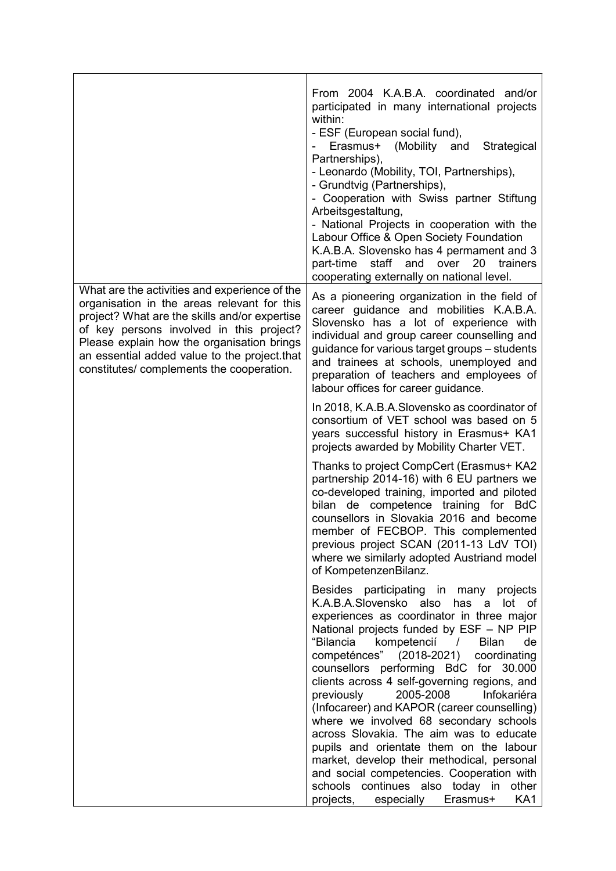|                                                                                                                                                                                                                                                                                                                                      | From 2004 K.A.B.A. coordinated and/or<br>participated in many international projects<br>within:<br>- ESF (European social fund),<br>Erasmus+ (Mobility and<br>Strategical<br>Partnerships),<br>- Leonardo (Mobility, TOI, Partnerships),<br>- Grundtvig (Partnerships),<br>- Cooperation with Swiss partner Stiftung<br>Arbeitsgestaltung,<br>- National Projects in cooperation with the<br>Labour Office & Open Society Foundation<br>K.A.B.A. Slovensko has 4 permament and 3<br>part-time<br>staff<br>and<br>over<br>20<br>trainers<br>cooperating externally on national level.                                                                                                                                                                                                                  |  |
|--------------------------------------------------------------------------------------------------------------------------------------------------------------------------------------------------------------------------------------------------------------------------------------------------------------------------------------|-------------------------------------------------------------------------------------------------------------------------------------------------------------------------------------------------------------------------------------------------------------------------------------------------------------------------------------------------------------------------------------------------------------------------------------------------------------------------------------------------------------------------------------------------------------------------------------------------------------------------------------------------------------------------------------------------------------------------------------------------------------------------------------------------------|--|
| What are the activities and experience of the<br>organisation in the areas relevant for this<br>project? What are the skills and/or expertise<br>of key persons involved in this project?<br>Please explain how the organisation brings<br>an essential added value to the project.that<br>constitutes/ complements the cooperation. | As a pioneering organization in the field of<br>career guidance and mobilities K.A.B.A.<br>Slovensko has a lot of experience with<br>individual and group career counselling and<br>guidance for various target groups - students<br>and trainees at schools, unemployed and<br>preparation of teachers and employees of<br>labour offices for career guidance.                                                                                                                                                                                                                                                                                                                                                                                                                                       |  |
|                                                                                                                                                                                                                                                                                                                                      | In 2018, K.A.B.A. Slovensko as coordinator of<br>consortium of VET school was based on 5<br>years successful history in Erasmus+ KA1<br>projects awarded by Mobility Charter VET.                                                                                                                                                                                                                                                                                                                                                                                                                                                                                                                                                                                                                     |  |
|                                                                                                                                                                                                                                                                                                                                      | Thanks to project CompCert (Erasmus+ KA2<br>partnership 2014-16) with 6 EU partners we<br>co-developed training, imported and piloted<br>bilan de competence training for BdC<br>counsellors in Slovakia 2016 and become<br>member of FECBOP. This complemented<br>previous project SCAN (2011-13 LdV TOI)<br>where we similarly adopted Austriand model<br>of KompetenzenBilanz.                                                                                                                                                                                                                                                                                                                                                                                                                     |  |
|                                                                                                                                                                                                                                                                                                                                      | Besides participating in many projects<br>K.A.B.A.Slovensko also has a lot of<br>experiences as coordinator in three major<br>National projects funded by ESF - NP PIP<br>"Bilancia<br>kompetencií<br><b>Bilan</b><br>de<br>$\sqrt{2}$<br>competénces" (2018-2021)<br>coordinating<br>counsellors performing BdC for 30.000<br>clients across 4 self-governing regions, and<br>2005-2008<br>previously<br>Infokariéra<br>(Infocareer) and KAPOR (career counselling)<br>where we involved 68 secondary schools<br>across Slovakia. The aim was to educate<br>pupils and orientate them on the labour<br>market, develop their methodical, personal<br>and social competencies. Cooperation with<br>schools continues also today in<br>other<br>projects,<br>especially<br>Erasmus+<br>KA <sub>1</sub> |  |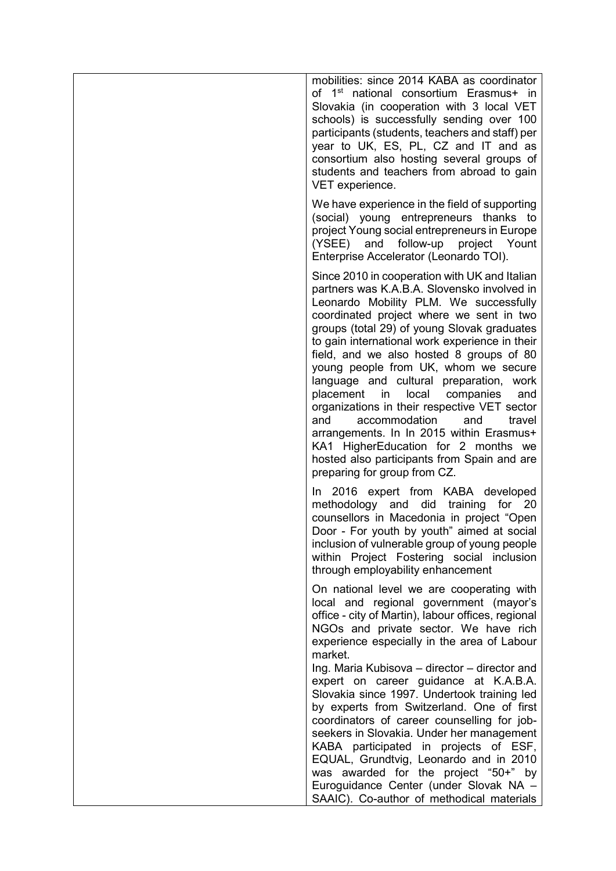| mobilities: since 2014 KABA as coordinator<br>of 1 <sup>st</sup> national consortium Erasmus+ in<br>Slovakia (in cooperation with 3 local VET<br>schools) is successfully sending over 100<br>participants (students, teachers and staff) per<br>year to UK, ES, PL, CZ and IT and as<br>consortium also hosting several groups of<br>students and teachers from abroad to gain<br>VET experience.                                                                                                                                                                                                                                                                                                                                               |
|--------------------------------------------------------------------------------------------------------------------------------------------------------------------------------------------------------------------------------------------------------------------------------------------------------------------------------------------------------------------------------------------------------------------------------------------------------------------------------------------------------------------------------------------------------------------------------------------------------------------------------------------------------------------------------------------------------------------------------------------------|
| We have experience in the field of supporting<br>(social) young entrepreneurs thanks to<br>project Young social entrepreneurs in Europe<br>(YSEE) and<br>follow-up<br>project Yount<br>Enterprise Accelerator (Leonardo TOI).                                                                                                                                                                                                                                                                                                                                                                                                                                                                                                                    |
| Since 2010 in cooperation with UK and Italian<br>partners was K.A.B.A. Slovensko involved in<br>Leonardo Mobility PLM. We successfully<br>coordinated project where we sent in two<br>groups (total 29) of young Slovak graduates<br>to gain international work experience in their<br>field, and we also hosted 8 groups of 80<br>young people from UK, whom we secure<br>language and cultural preparation, work<br>placement<br>local<br>in<br>companies<br>and<br>organizations in their respective VET sector<br>and<br>accommodation<br>and<br>travel<br>arrangements. In In 2015 within Erasmus+<br>KA1 HigherEducation for 2 months we<br>hosted also participants from Spain and are<br>preparing for group from CZ.                    |
| In 2016 expert from KABA developed<br>methodology and did training for<br>- 20<br>counsellors in Macedonia in project "Open<br>Door - For youth by youth" aimed at social<br>inclusion of vulnerable group of young people<br>within Project Fostering social inclusion<br>through employability enhancement                                                                                                                                                                                                                                                                                                                                                                                                                                     |
| On national level we are cooperating with<br>local and regional government (mayor's<br>office - city of Martin), labour offices, regional<br>NGOs and private sector. We have rich<br>experience especially in the area of Labour<br>market.<br>Ing. Maria Kubisova - director - director and<br>expert on career guidance at K.A.B.A.<br>Slovakia since 1997. Undertook training led<br>by experts from Switzerland. One of first<br>coordinators of career counselling for job-<br>seekers in Slovakia. Under her management<br>KABA participated in projects of ESF,<br>EQUAL, Grundtvig, Leonardo and in 2010<br>was awarded for the project "50+" by<br>Euroguidance Center (under Slovak NA -<br>SAAIC). Co-author of methodical materials |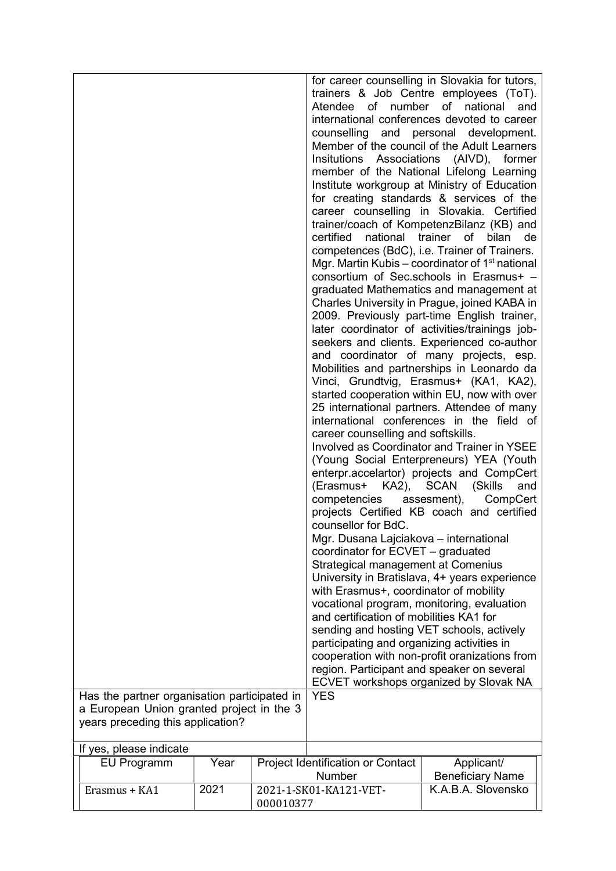| Has the partner organisation participated in<br>a European Union granted project in the 3<br>years preceding this application? |      |                                     | Atendee of number of national<br>certified<br>national<br>career counselling and softskills.<br>(Erasmus+ KA2), SCAN (Skills<br>competencies assesment),<br>counsellor for BdC.<br>Mgr. Dusana Lajciakova - international<br>coordinator for ECVET - graduated<br>Strategical management at Comenius<br>with Erasmus+, coordinator of mobility<br>vocational program, monitoring, evaluation<br>and certification of mobilities KA1 for<br>sending and hosting VET schools, actively<br>participating and organizing activities in<br>region. Participant and speaker on several<br><b>YES</b> | for career counselling in Slovakia for tutors,<br>trainers & Job Centre employees (ToT).<br>and<br>international conferences devoted to career<br>counselling and personal development.<br>Member of the council of the Adult Learners<br>Insitutions Associations (AIVD), former<br>member of the National Lifelong Learning<br>Institute workgroup at Ministry of Education<br>for creating standards & services of the<br>career counselling in Slovakia. Certified<br>trainer/coach of KompetenzBilanz (KB) and<br>trainer of<br>bilan<br>de<br>competences (BdC), i.e. Trainer of Trainers.<br>Mgr. Martin Kubis – coordinator of $1st$ national<br>consortium of Sec.schools in Erasmus+ -<br>graduated Mathematics and management at<br>Charles University in Prague, joined KABA in<br>2009. Previously part-time English trainer,<br>later coordinator of activities/trainings job-<br>seekers and clients. Experienced co-author<br>and coordinator of many projects, esp.<br>Mobilities and partnerships in Leonardo da<br>Vinci, Grundtvig, Erasmus+ (KA1, KA2),<br>started cooperation within EU, now with over<br>25 international partners. Attendee of many<br>international conferences in the field of<br><b>Involved as Coordinator and Trainer in YSEE</b><br>(Young Social Enterpreneurs) YEA (Youth<br>enterpr.accelartor) projects and CompCert<br>and<br>CompCert<br>projects Certified KB coach and certified<br>University in Bratislava, 4+ years experience<br>cooperation with non-profit oranizations from<br>ECVET workshops organized by Slovak NA |
|--------------------------------------------------------------------------------------------------------------------------------|------|-------------------------------------|------------------------------------------------------------------------------------------------------------------------------------------------------------------------------------------------------------------------------------------------------------------------------------------------------------------------------------------------------------------------------------------------------------------------------------------------------------------------------------------------------------------------------------------------------------------------------------------------|------------------------------------------------------------------------------------------------------------------------------------------------------------------------------------------------------------------------------------------------------------------------------------------------------------------------------------------------------------------------------------------------------------------------------------------------------------------------------------------------------------------------------------------------------------------------------------------------------------------------------------------------------------------------------------------------------------------------------------------------------------------------------------------------------------------------------------------------------------------------------------------------------------------------------------------------------------------------------------------------------------------------------------------------------------------------------------------------------------------------------------------------------------------------------------------------------------------------------------------------------------------------------------------------------------------------------------------------------------------------------------------------------------------------------------------------------------------------------------------------------------------------------------------------------------------------------------|
| If yes, please indicate<br><b>EU Programm</b>                                                                                  | Year |                                     | Project Identification or Contact                                                                                                                                                                                                                                                                                                                                                                                                                                                                                                                                                              | Applicant/                                                                                                                                                                                                                                                                                                                                                                                                                                                                                                                                                                                                                                                                                                                                                                                                                                                                                                                                                                                                                                                                                                                                                                                                                                                                                                                                                                                                                                                                                                                                                                         |
|                                                                                                                                |      | Number                              |                                                                                                                                                                                                                                                                                                                                                                                                                                                                                                                                                                                                | <b>Beneficiary Name</b>                                                                                                                                                                                                                                                                                                                                                                                                                                                                                                                                                                                                                                                                                                                                                                                                                                                                                                                                                                                                                                                                                                                                                                                                                                                                                                                                                                                                                                                                                                                                                            |
| Erasmus + KA1                                                                                                                  | 2021 | 2021-1-SK01-KA121-VET-<br>000010377 |                                                                                                                                                                                                                                                                                                                                                                                                                                                                                                                                                                                                | K.A.B.A. Slovensko                                                                                                                                                                                                                                                                                                                                                                                                                                                                                                                                                                                                                                                                                                                                                                                                                                                                                                                                                                                                                                                                                                                                                                                                                                                                                                                                                                                                                                                                                                                                                                 |